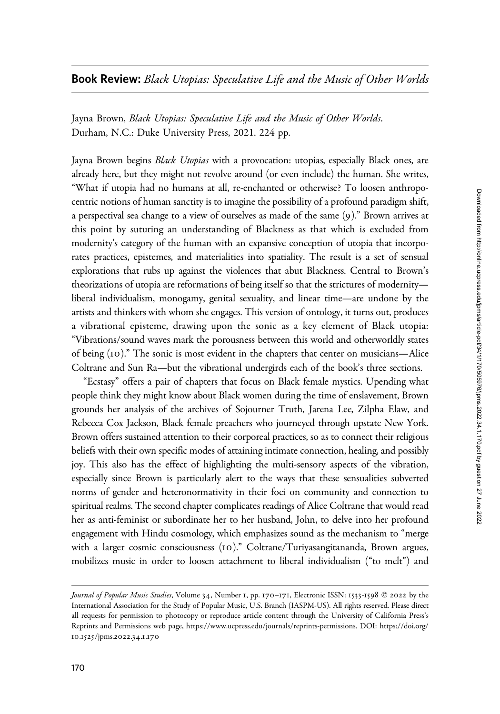Jayna Brown, Black Utopias: Speculative Life and the Music of Other Worlds. Durham, N.C.: Duke University Press, 2021. 224 pp.

Jayna Brown begins Black Utopias with a provocation: utopias, especially Black ones, are already here, but they might not revolve around (or even include) the human. She writes, "What if utopia had no humans at all, re-enchanted or otherwise? To loosen anthropocentric notions of human sanctity is to imagine the possibility of a profound paradigm shift, a perspectival sea change to a view of ourselves as made of the same (9)." Brown arrives at this point by suturing an understanding of Blackness as that which is excluded from modernity's category of the human with an expansive conception of utopia that incorporates practices, epistemes, and materialities into spatiality. The result is a set of sensual explorations that rubs up against the violences that abut Blackness. Central to Brown's theorizations of utopia are reformations of being itself so that the strictures of modernity liberal individualism, monogamy, genital sexuality, and linear time—are undone by the artists and thinkers with whom she engages. This version of ontology, it turns out, produces a vibrational episteme, drawing upon the sonic as a key element of Black utopia: "Vibrations/sound waves mark the porousness between this world and otherworldly states of being (10)." The sonic is most evident in the chapters that center on musicians—Alice Coltrane and Sun Ra—but the vibrational undergirds each of the book's three sections.

"Ecstasy" offers a pair of chapters that focus on Black female mystics. Upending what people think they might know about Black women during the time of enslavement, Brown grounds her analysis of the archives of Sojourner Truth, Jarena Lee, Zilpha Elaw, and Rebecca Cox Jackson, Black female preachers who journeyed through upstate New York. Brown offers sustained attention to their corporeal practices, so as to connect their religious beliefs with their own specific modes of attaining intimate connection, healing, and possibly joy. This also has the effect of highlighting the multi-sensory aspects of the vibration, especially since Brown is particularly alert to the ways that these sensualities subverted norms of gender and heteronormativity in their foci on community and connection to spiritual realms. The second chapter complicates readings of Alice Coltrane that would read her as anti-feminist or subordinate her to her husband, John, to delve into her profound engagement with Hindu cosmology, which emphasizes sound as the mechanism to "merge with a larger cosmic consciousness (10)." Coltrane/Turiyasangitananda, Brown argues, mobilizes music in order to loosen attachment to liberal individualism ("to melt") and

Journal of Popular Music Studies, Volume 34, Number 1, pp. 170-171, Electronic ISSN: 1533-1598 © 2022 by the International Association for the Study of Popular Music, U.S. Branch (IASPM-US). All rights reserved. Please direct all requests for permission to photocopy or reproduce article content through the University of California Press's Reprints and Permissions web page, [https://www.ucpress.edu/journals/reprints-permissions.](https://www.ucpress.edu/journals/reprints-permissions) [DOI: https://doi.org/](https://doi.org/10.1525/jpms.2022.34.1.170) 10.1525[/jpms.](https://doi.org/10.1525/jpms.2022.34.1.170)2022.34.1.170